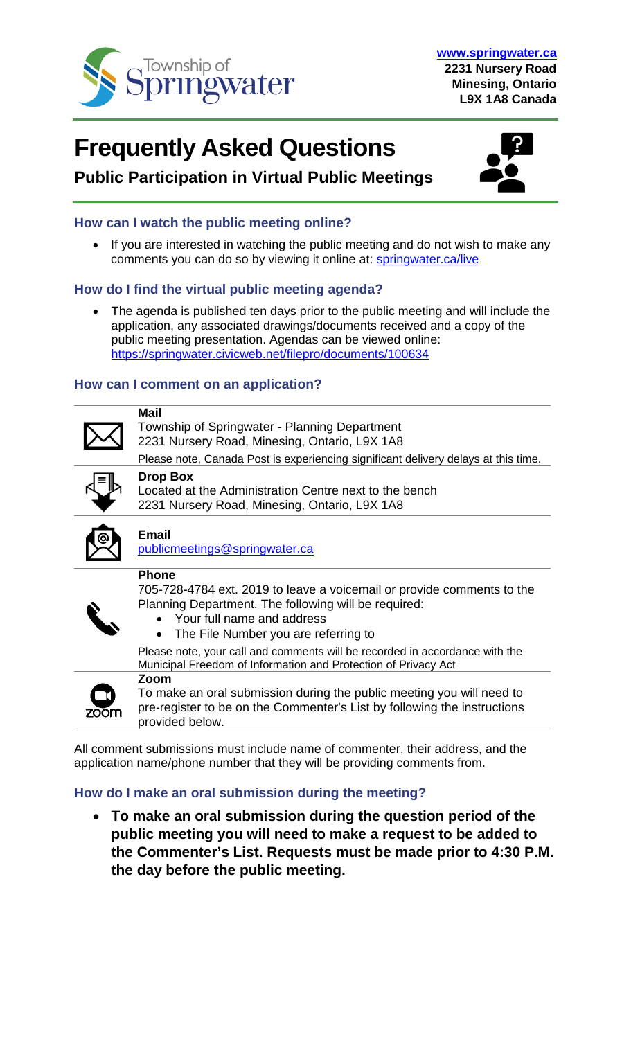

# **Frequently Asked Questions**



# **Public Participation in Virtual Public Meetings**

# **How can I watch the public meeting online?**

• If you are interested in watching the public meeting and do not wish to make any comments you can do so by viewing it online at: [springwater.ca/live](http://www.springwater.ca/live)

# **How do I find the virtual public meeting agenda?**

The agenda is published ten days prior to the public meeting and will include the application, any associated drawings/documents received and a copy of the public meeting presentation. Agendas can be viewed online: <https://springwater.civicweb.net/filepro/documents/100634>

# **How can I comment on an application?**



**Mail** Township of Springwater - Planning Department 2231 Nursery Road, Minesing, Ontario, L9X 1A8

Please note, Canada Post is experiencing significant delivery delays at this time.



**Drop Box**

Located at the Administration Centre next to the bench 2231 Nursery Road, Minesing, Ontario, L9X 1A8



# **Email**

[publicmeetings@springwater.ca](mailto:publicmeetings@springwater.ca)

#### **Phone**

**Zoom**

705-728-4784 ext. 2019 to leave a voicemail or provide comments to the Planning Department. The following will be required:

- Your full name and address
- The File Number you are referring to

Please note, your call and comments will be recorded in accordance with the Municipal Freedom of Information and Protection of Privacy Act



To make an oral submission during the public meeting you will need to pre-register to be on the Commenter's List by following the instructions provided below.

All comment submissions must include name of commenter, their address, and the application name/phone number that they will be providing comments from.

# **How do I make an oral submission during the meeting?**

• **To make an oral submission during the question period of the public meeting you will need to make a request to be added to the Commenter's List. Requests must be made prior to 4:30 P.M. the day before the public meeting.**